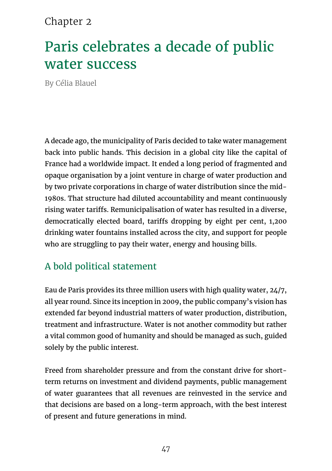#### Chapter 2

# Paris celebrates a decade of public water success

By Célia Blauel

A decade ago, the municipality of Paris decided to take water management back into public hands. This decision in a global city like the capital of France had a worldwide impact. It ended a long period of fragmented and opaque organisation by a joint venture in charge of water production and by two private corporations in charge of water distribution since the mid-1980s. That structure had diluted accountability and meant continuously rising water tariffs. Remunicipalisation of water has resulted in a diverse, democratically elected board, tariffs dropping by eight per cent, 1,200 drinking water fountains installed across the city, and support for people who are struggling to pay their water, energy and housing bills.

### A bold political statement

Eau de Paris provides its three million users with high quality water, 24/7, all year round. Since its inception in 2009, the public company's vision has extended far beyond industrial matters of water production, distribution, treatment and infrastructure. Water is not another commodity but rather a vital common good of humanity and should be managed as such, guided solely by the public interest.

Freed from shareholder pressure and from the constant drive for shortterm returns on investment and dividend payments, public management of water guarantees that all revenues are reinvested in the service and that decisions are based on a long-term approach, with the best interest of present and future generations in mind.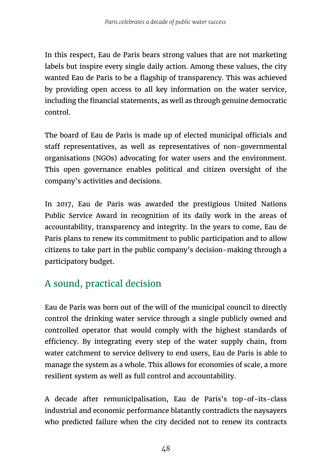In this respect, Eau de Paris bears strong values that are not marketing labels but inspire every single daily action. Among these values, the city wanted Eau de Paris to be a flagship of transparency. This was achieved by providing open access to all key information on the water service, including the financial statements, as well as through genuine democratic control.

The board of Eau de Paris is made up of elected municipal officials and staff representatives, as well as representatives of non-governmental organisations (NGOs) advocating for water users and the environment. This open governance enables political and citizen oversight of the company's activities and decisions.

In 2017, Eau de Paris was awarded the prestigious United Nations Public Service Award in recognition of its daily work in the areas of accountability, transparency and integrity. In the years to come, Eau de Paris plans to renew its commitment to public participation and to allow citizens to take part in the public company's decision-making through a participatory budget.

# A sound, practical decision

Eau de Paris was born out of the will of the municipal council to directly control the drinking water service through a single publicly owned and controlled operator that would comply with the highest standards of efficiency. By integrating every step of the water supply chain, from water catchment to service delivery to end users, Eau de Paris is able to manage the system as a whole. This allows for economies of scale, a more resilient system as well as full control and accountability.

A decade after remunicipalisation, Eau de Paris's top-of-its-class industrial and economic performance blatantly contradicts the naysayers who predicted failure when the city decided not to renew its contracts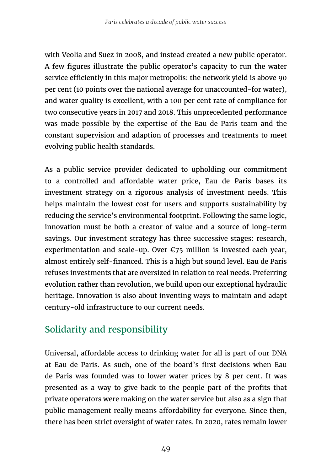with Veolia and Suez in 2008, and instead created a new public operator. A few figures illustrate the public operator's capacity to run the water service efficiently in this major metropolis: the network yield is above 90 per cent (10 points over the national average for unaccounted-for water), and water quality is excellent, with a 100 per cent rate of compliance for two consecutive years in 2017 and 2018. This unprecedented performance was made possible by the expertise of the Eau de Paris team and the constant supervision and adaption of processes and treatments to meet evolving public health standards.

As a public service provider dedicated to upholding our commitment to a controlled and affordable water price, Eau de Paris bases its investment strategy on a rigorous analysis of investment needs. This helps maintain the lowest cost for users and supports sustainability by reducing the service's environmental footprint. Following the same logic, innovation must be both a creator of value and a source of long-term savings. Our investment strategy has three successive stages: research, experimentation and scale-up. Over  $\epsilon$ 75 million is invested each year, almost entirely self-financed. This is a high but sound level. Eau de Paris refuses investments that are oversized in relation to real needs. Preferring evolution rather than revolution, we build upon our exceptional hydraulic heritage. Innovation is also about inventing ways to maintain and adapt century-old infrastructure to our current needs.

# Solidarity and responsibility

Universal, affordable access to drinking water for all is part of our DNA at Eau de Paris. As such, one of the board's first decisions when Eau de Paris was founded was to lower water prices by 8 per cent. It was presented as a way to give back to the people part of the profits that private operators were making on the water service but also as a sign that public management really means affordability for everyone. Since then, there has been strict oversight of water rates. In 2020, rates remain lower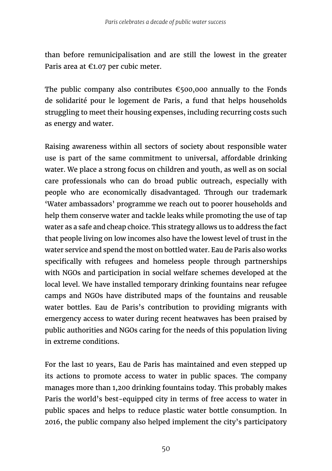than before remunicipalisation and are still the lowest in the greater Paris area at €1.07 per cubic meter.

The public company also contributes  $\epsilon$ 500,000 annually to the Fonds de solidarité pour le logement de Paris, a fund that helps households struggling to meet their housing expenses, including recurring costs such as energy and water.

Raising awareness within all sectors of society about responsible water use is part of the same commitment to universal, affordable drinking water. We place a strong focus on children and youth, as well as on social care professionals who can do broad public outreach, especially with people who are economically disadvantaged. Through our trademark 'Water ambassadors' programme we reach out to poorer households and help them conserve water and tackle leaks while promoting the use of tap water as a safe and cheap choice. This strategy allows us to address the fact that people living on low incomes also have the lowest level of trust in the water service and spend the most on bottled water. Eau de Paris also works specifically with refugees and homeless people through partnerships with NGOs and participation in social welfare schemes developed at the local level. We have installed temporary drinking fountains near refugee camps and NGOs have distributed maps of the fountains and reusable water bottles. Eau de Paris's contribution to providing migrants with emergency access to water during recent heatwaves has been praised by public authorities and NGOs caring for the needs of this population living in extreme conditions.

For the last 10 years, Eau de Paris has maintained and even stepped up its actions to promote access to water in public spaces. The company manages more than 1,200 drinking fountains today. This probably makes Paris the world's best-equipped city in terms of free access to water in public spaces and helps to reduce plastic water bottle consumption. In 2016, the public company also helped implement the city's participatory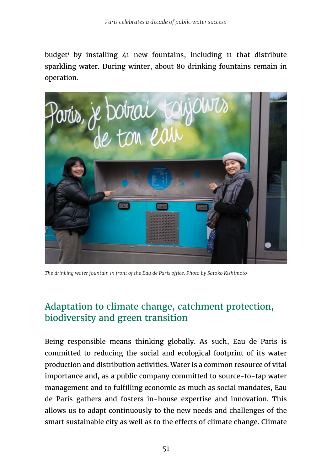budget<sup>i</sup> by installing 41 new fountains, including 11 that distribute sparkling water. During winter, about 80 drinking fountains remain in operation.



*The drinking water fountain in front of the Eau de Paris office. Photo by Satoko Kishimoto*

#### Adaptation to climate change, catchment protection, biodiversity and green transition

Being responsible means thinking globally. As such, Eau de Paris is committed to reducing the social and ecological footprint of its water production and distribution activities. Water is a common resource of vital importance and, as a public company committed to source-to-tap water management and to fulfilling economic as much as social mandates, Eau de Paris gathers and fosters in-house expertise and innovation. This allows us to adapt continuously to the new needs and challenges of the smart sustainable city as well as to the effects of climate change. Climate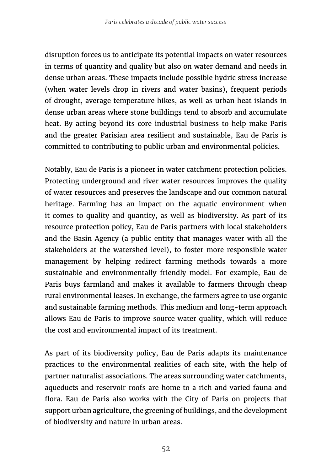disruption forces us to anticipate its potential impacts on water resources in terms of quantity and quality but also on water demand and needs in dense urban areas. These impacts include possible hydric stress increase (when water levels drop in rivers and water basins), frequent periods of drought, average temperature hikes, as well as urban heat islands in dense urban areas where stone buildings tend to absorb and accumulate heat. By acting beyond its core industrial business to help make Paris and the greater Parisian area resilient and sustainable, Eau de Paris is committed to contributing to public urban and environmental policies.

Notably, Eau de Paris is a pioneer in water catchment protection policies. Protecting underground and river water resources improves the quality of water resources and preserves the landscape and our common natural heritage. Farming has an impact on the aquatic environment when it comes to quality and quantity, as well as biodiversity. As part of its resource protection policy, Eau de Paris partners with local stakeholders and the Basin Agency (a public entity that manages water with all the stakeholders at the watershed level), to foster more responsible water management by helping redirect farming methods towards a more sustainable and environmentally friendly model. For example, Eau de Paris buys farmland and makes it available to farmers through cheap rural environmental leases. In exchange, the farmers agree to use organic and sustainable farming methods. This medium and long-term approach allows Eau de Paris to improve source water quality, which will reduce the cost and environmental impact of its treatment.

As part of its biodiversity policy, Eau de Paris adapts its maintenance practices to the environmental realities of each site, with the help of partner naturalist associations. The areas surrounding water catchments, aqueducts and reservoir roofs are home to a rich and varied fauna and flora. Eau de Paris also works with the City of Paris on projects that support urban agriculture, the greening of buildings, and the development of biodiversity and nature in urban areas.

52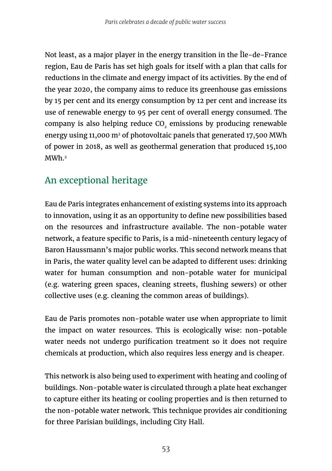Not least, as a major player in the energy transition in the Île-de-France region, Eau de Paris has set high goals for itself with a plan that calls for reductions in the climate and energy impact of its activities. By the end of the year 2020, the company aims to reduce its greenhouse gas emissions by 15 per cent and its energy consumption by 12 per cent and increase its use of renewable energy to 95 per cent of overall energy consumed. The company is also helping reduce CO<sub>2</sub> emissions by producing renewable energy using 11,000  $m<sup>2</sup>$  of photovoltaic panels that generated 17,500 MWh of power in 2018, as well as geothermal generation that produced 15,100 MWh.2

#### An exceptional heritage

Eau de Paris integrates enhancement of existing systems into its approach to innovation, using it as an opportunity to define new possibilities based on the resources and infrastructure available. The non-potable water network, a feature specific to Paris, is a mid-nineteenth century legacy of Baron Haussmann's major public works. This second network means that in Paris, the water quality level can be adapted to different uses: drinking water for human consumption and non-potable water for municipal (e.g. watering green spaces, cleaning streets, flushing sewers) or other collective uses (e.g. cleaning the common areas of buildings).

Eau de Paris promotes non-potable water use when appropriate to limit the impact on water resources. This is ecologically wise: non-potable water needs not undergo purification treatment so it does not require chemicals at production, which also requires less energy and is cheaper.

This network is also being used to experiment with heating and cooling of buildings. Non-potable water is circulated through a plate heat exchanger to capture either its heating or cooling properties and is then returned to the non-potable water network. This technique provides air conditioning for three Parisian buildings, including City Hall.